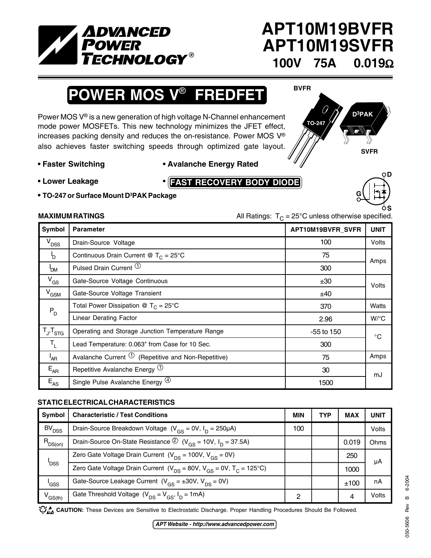

## **APT10M19BVFR APT10M19SVFR 100V 75A 0.019**Ω

**BVFR**

# **POWER MOS V**® **FREDFET**

Power MOS V® is a new generation of high voltage N-Channel enhancement mode power MOSFETs. This new technology minimizes the JFET effect, increases packing density and reduces the on-resistance. Power MOS V® also achieves faster switching speeds through optimized gate layout.

### **• Faster Switching • Avalanche Energy Rated**

**• Lower Leakage •**

- **FAST RECOVERY BODY DIODE**
- **• TO-247 or Surface Mount D3 PAK Package**





**MAXIMUM RATINGS** MAXIMUM RATINGS **All Ratings:**  $T<sub>C</sub> = 25<sup>°</sup>C$  unless otherwise specified.

| Symbol                     | <b>Parameter</b>                                              | APT10M19BVFR_SVFR | <b>UNIT</b>  |
|----------------------------|---------------------------------------------------------------|-------------------|--------------|
| V <sub>DSS</sub>           | Drain-Source Voltage                                          | 100               | Volts        |
| <sup>I</sup> D             | Continuous Drain Current @ $T_c = 25^{\circ}$ C               | 75                | Amps         |
| <b>POM</b>                 | Pulsed Drain Current <sup>1</sup>                             | 300               |              |
| $V_{GS}$                   | Gate-Source Voltage Continuous                                | ±30               | Volts        |
| $V_{GSM}$                  | Gate-Source Voltage Transient                                 | ±40               |              |
| $P_D$                      | Total Power Dissipation @ $T_C = 25^{\circ}C$                 | 370               | Watts        |
|                            | <b>Linear Derating Factor</b>                                 | 2.96              | $W$ /°C      |
| $T_{J}$ , $T_{STG}$        | Operating and Storage Junction Temperature Range              | -55 to 150        | $^{\circ}$ C |
| $T_{L}$                    | Lead Temperature: 0.063" from Case for 10 Sec.                | 300               |              |
| <sup>I</sup> AR            | Avalanche Current $\mathbb O$ (Repetitive and Non-Repetitive) | 75                | Amps         |
| $E_{AR}$                   | Repetitive Avalanche Energy $\Phi$                            | 30                | mJ           |
| $\mathsf{E}_{\mathsf{AS}}$ | Single Pulse Avalanche Energy <sup>(4)</sup>                  | 1500              |              |

### **STATIC ELECTRICAL CHARACTERISTICS**

| Symbol              | <b>Characteristic / Test Conditions</b>                                                            | MIN | <b>TYP</b> | <b>MAX</b> | <b>UNIT</b> |
|---------------------|----------------------------------------------------------------------------------------------------|-----|------------|------------|-------------|
| BV <sub>DSS</sub>   | Drain-Source Breakdown Voltage $(V_{GS} = 0V, I_D = 250 \mu A)$                                    | 100 |            |            | Volts       |
| $R_{DS(on)}$        | Drain-Source On-State Resistance $\textcircled{2}$ (V <sub>GS</sub> = 10V, I <sub>D</sub> = 37.5A) |     |            | 0.019      | Ohms        |
| <b>DSS</b>          | Zero Gate Voltage Drain Current $(V_{DS} = 100V, V_{GS} = 0V)$                                     |     |            | 250        | μA          |
|                     | Zero Gate Voltage Drain Current ( $V_{DS}$ = 80V, $V_{GS}$ = 0V, $T_{C}$ = 125°C)                  |     |            | 1000       |             |
| 'GSS                | Gate-Source Leakage Current $(V_{GS} = \pm 30V, V_{DS} = 0V)$                                      |     |            | ±100       | nA          |
| V <sub>GS(th)</sub> | Gate Threshold Voltage $(V_{DS} = V_{GS}, I_D = 1mA)$                                              | ົ   |            | 4          | Volts       |

CAUTION: These Devices are Sensitive to Electrostatic Discharge. Proper Handling Procedures Should Be Followed.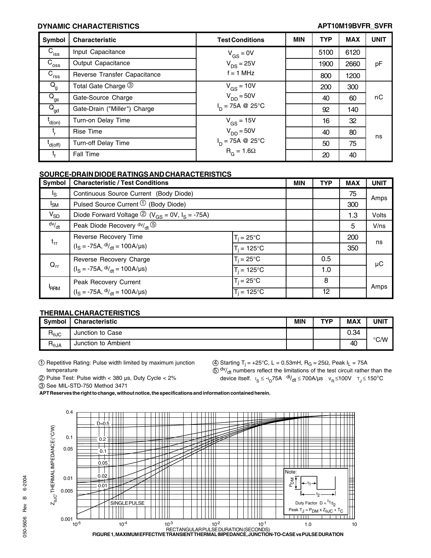### **DYNAMIC CHARACTERISTICS APT10M19BVFR\_SVFR**

| Symbol                                | <b>Characteristic</b>        | <b>Test Conditions</b>          | MIN | <b>TYP</b> | <b>MAX</b> | <b>UNIT</b> |
|---------------------------------------|------------------------------|---------------------------------|-----|------------|------------|-------------|
| $\overline{C}_{\sf iss}$              | Input Capacitance            | $V_{GS} = 0V$                   |     | 5100       | 6120       |             |
| $C_{\rm{oss}}$                        | Output Capacitance           | $V_{DS}$ = 25V                  |     | 1900       | 2660       | pF          |
| $\overline{C}_{\text{rss}}$           | Reverse Transfer Capacitance | $f = 1$ MHz                     |     | 800        | 1200       |             |
| $Q_{\rm g}$                           | Total Gate Charge 3          | $V_{GS}$ = 10V                  |     | 200        | 300        |             |
| $\overline{\mathsf{Q}}_{\mathsf{gs}}$ | Gate-Source Charge           | $V_{DD} = 50V$                  |     | 40         | 60         | пC          |
| $Q_{gd}$                              | Gate-Drain ("Miller") Charge | $I_n = 75A \otimes 25^{\circ}C$ |     | 92         | 140        |             |
| t<br>d(on)                            | Turn-on Delay Time           | $V_{GS}$ = 15V                  |     | 16         | 32         |             |
|                                       | <b>Rise Time</b>             | $V_{DD} = 50V$                  |     | 40         | 80         | ns          |
| $'$ d(off)                            | <b>Turn-off Delay Time</b>   | $I_D = 75A \otimes 25^{\circ}C$ |     | 50         | 75         |             |
| ι,                                    | Fall Time                    | $R_G = 1.6\Omega$               |     | 20         | 40         |             |

#### **SOURCE-DRAIN DIODE RATINGS AND CHARACTERISTICS**

| Symbol         | <b>Characteristic / Test Conditions</b>                                               |                      | <b>MIN</b> | <b>TYP</b> | <b>MAX</b> | <b>UNIT</b> |
|----------------|---------------------------------------------------------------------------------------|----------------------|------------|------------|------------|-------------|
| l <sub>S</sub> | Continuous Source Current (Body Diode)                                                |                      |            |            | 75         | Amps        |
| $I_{SM}$       | Pulsed Source Current $\mathcal{D}$ (Body Diode)                                      |                      |            |            | 300        |             |
| $V_{SD}$       | Diode Forward Voltage $\textcircled{2}$ (V <sub>GS</sub> = 0V, I <sub>S</sub> = -75A) |                      |            |            | 1.3        | Volts       |
| dv/dt          | Peak Diode Recovery $dv/dt$                                                           |                      |            |            | 5          | $V$ /ns     |
| $t_{rr}$       | Reverse Recovery Time<br>$(IS = -75A, \frac{di}{dt} = 100A/\mu s)$                    | $T_i = 25^{\circ}C$  |            |            | 200        | ns          |
|                |                                                                                       | $T_i = 125^{\circ}C$ |            |            | 350        |             |
|                | Reverse Recovery Charge                                                               | $T_i = 25^{\circ}C$  |            | 0.5        |            | μC          |
| $Q_{rr}$       | $(IS = -75A, \frac{di}{dt} = 100A/\mu s)$                                             | $T_i = 125^{\circ}C$ |            | 1.0        |            |             |
| <b>RRM</b>     | Peak Recovery Current                                                                 | $T_i = 25^{\circ}C$  |            | 8          |            | Amps        |
|                | $(IS = -75A, dIdt = 100A/µs)$                                                         | $T_i = 125^{\circ}C$ |            | 12         |            |             |

#### **THERMAL CHARACTERISTICS**

| <b>Symbol</b>                     | <b>Characteristic</b>  | <b>MIN</b> | TYP | <b>MAX</b> | UNIT |
|-----------------------------------|------------------------|------------|-----|------------|------|
| $R_{\theta \text{JC}}$            | Junction to Case       |            |     | 0.34       | °C/W |
| $\mathsf{R}_{\theta \mathsf{JA}}$ | Junction to<br>Ambient |            |     | 40         |      |

1 Repetitive Rating: Pulse width limited by maximum junction temperature

 $(4)$  Starting T<sub>j</sub> = +25°C, L = 0.53mH, R<sub>G</sub> = 25Ω, Peak I<sub>L</sub> = 75A

2 Pulse Test: Pulse width < 380 µs, Duty Cycle < 2%

 $50$  dv/<sub>dt</sub> numbers reflect the limitations of the test circuit rather than the device itself.  $I_S \leq -I_D$ 75A  $\frac{di}{dt}$  ≤ 700A/µs  $V_R$  ≤100V  $T_J \leq 150^{\circ}$ C

3 See MIL-STD-750 Method 3471

**APT Reserves the right to change, without notice, the specifications and information contained herein.**

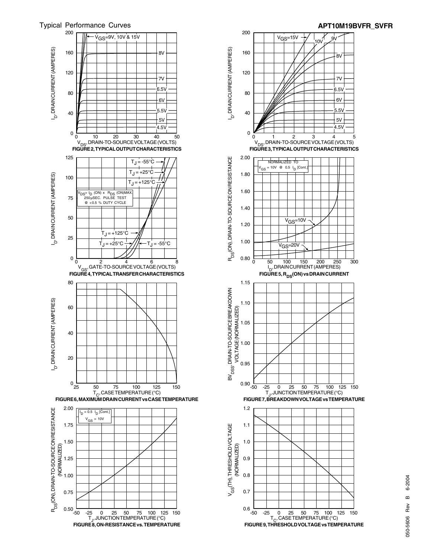

6V 5.5V

 $.5\lambda$ 

7V

8V

 $4.5V$  $5V$ 



 $^7$ -50 -25 0 25 50 75 100 125 150<br>T<sub>J</sub>, JUNCTION TEMPERATURE (°C)<br>**FIGURE 8. ON-RESISTANCE vs. TEMPERATURE** 

0.75

 $0.50 - 50$